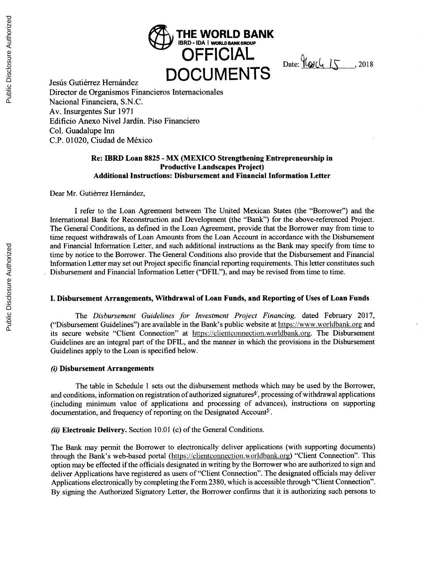

 $Date: \frac{\partial \omega (15.70)}{\partial \omega}$ , 2018

Director de Organismos Financieros Internacionales Nacional Financiera, **S.N.C.** Av. Insurgentes Sur **1971** Edificio Anexo Nivel Jardin. Piso Financiero Col. Guadalupe Inn **C.P.** 01020, Ciudad de M6xico

## Re: IBRD Loan **8825 -** MX (MEXICO Strengthening Entrepreneurship in Productive Landscapes Project) Additional Instructions: Disbursement and Financial Information Letter

Dear Mr. Gutiérrez Hernández,

**I** refer to the Loan Agreement between The United Mexican States (the "Borrower") and the International Bank for Reconstruction and Development (the "Bank") for the above-referenced Project. The General Conditions, as defined in the Loan Agreement, provide that the Borrower may from time to time request withdrawals of Loan Amounts from the Loan Account in accordance with the Disbursement and Financial Information Letter, and such additional instructions as the Bank may specify from time to time **by** notice to the Borrower. The General Conditions also provide that the Disbursement and Financial Information Letter may set out Project specific financial reporting requirements. This letter constitutes such Disbursement and Financial Information Letter ("DFIL"), and may be revised from time to time.

# **I.** Disbursement Arrangements, Withdrawal of Loan **Funds, and Reporting of Uses of Loan Funds**

*The Disbursement Guidelines for Investment Project Financing,* dated February **2017,** ("Disbursement Guidelines") are available in the Bank's public website at https://www.worldbank.org and its secure website "Client Connection" at https://clientconnection.worldbank.org. The Disbursement Guidelines are an integral part of the DF1L, and the manner in which the provisions in the Disbursement Guidelines apply to the Loan is specified below.

# *(i)* **Disbursement Arrangements**

The table in Schedule 1 sets out the disbursement methods which may be used **by** the Borrower, and conditions, information on registration of authorized signatures<sup>4'</sup>, processing of withdrawal applications (including minimum value of applications and processing of advances), instructions on supporting documentation, and frequency of reporting on the Designated Account<sup> $\delta$ </sup>.

*(ii)* **Electronic Delivery.** Section **10.01** (c) of the General Conditions.

The Bank may permit the Borrower to electronically deliver applications (with supporting documents) through the Bank's web-based portal (https://clientconnection.worldbank.org) "Client Connection". This option may be effected if the officials designated in writing **by** the Borrower who are authorized to sign and deliver Applications have registered as users of "Client Connection". The designated officials may deliver Applications electronically **by** completing the Form **2380,** which is accessible through "Client Connection". **By** signing the Authorized Signatory Letter, the Borrower confirms that it is authorizing such persons to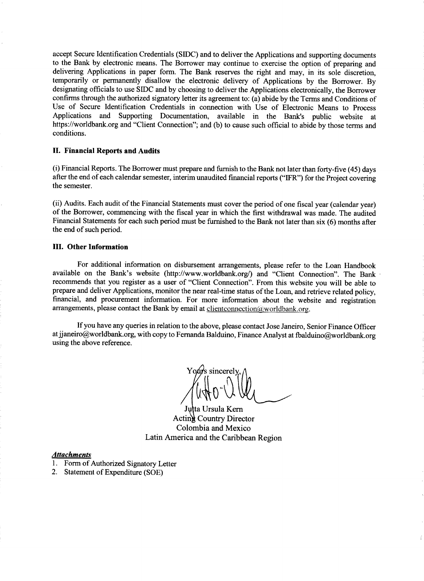accept Secure Identification Credentials **(SIDC)** and to deliver the Applications and supporting documents to the Bank **by** electronic means. The Borrower may continue to exercise the option of preparing and delivering Applications in paper form. The Bank reserves the right and may, in its sole discretion, temporarily or permanently disallow the electronic delivery of Applications **by** the Borrower. **By** designating officials to use **SIDC** and **by** choosing to deliver the Applications electronically, the Borrower confirms through the authorized signatory letter its agreement to: (a) abide **by** the Terms and Conditions of Use of Secure Identification Credentials in connection with Use of Electronic Means to Process Applications and Supporting Documentation, available in the Bank's public website at https://worldbank.org and "Client Connection"; and **(b)** to cause such official to abide **by** those tens and conditions.

## **II. Financial Reports and Audits**

(i) Financial Reports. The Borrower must prepare and furnish to the Bank not later than forty-five *(45)* days after the end of each calendar semester, interim unaudited financial reports ("IFR") for the Project covering the semester.

(ii) Audits. Each audit of the Financial Statements must cover the period of one fiscal year (calendar year) of the Borrower, commencing with the fiscal year in which the first withdrawal was made. The audited Financial Statements for each such period must be furnished to the Bank not later than six **(6)** months after the end of such period.

#### **III. Other Information**

For additional infornation on disbursement arrangements, please refer to the Loan Handbook available on the Bank's website (http://www.worldbank.org/) and "Client Connection". The Bank recommends that you register as a user of "Client Connection". From this website you will be able to prepare and deliver Applications, monitor the near real-time status of the Loan, and retrieve related policy, financial, and procurement information. For more information about the website and registration arrangements, please contact the Bank by email at clientconnection@worldbank.org.

**If** you have any queries in relation to the above, please contact Jose Janeiro, Senior Finance Officer at jjaneiro@worldbank.org, with copy to Fernanda Balduino, Finance Analyst at fbalduino@worldbank.org using the above reference.

's sincerel

Jutta Ursula Kern Acting Country Director Colombia and Mexico Latin America and the Caribbean Region

#### *Attachments*

- **1.** Form of Authorized Signatory Letter
- 2. Statement of Expenditure **(SOE)**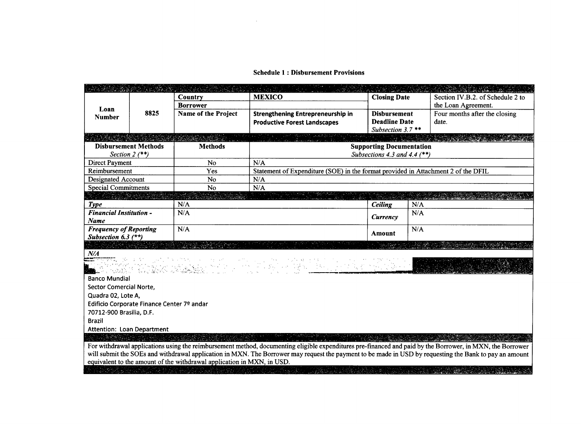# **Schedule 1 : Disbursement Provisions**

 $\sim 10^{-1}$ 

|                                   |                                            | Country                                                                | <b>MEXICO</b>                                                                                                                                             | <b>Closing Date</b>           |     | Section IV.B.2. of Schedule 2 to |  |
|-----------------------------------|--------------------------------------------|------------------------------------------------------------------------|-----------------------------------------------------------------------------------------------------------------------------------------------------------|-------------------------------|-----|----------------------------------|--|
| Loan                              |                                            | <b>Borrower</b>                                                        |                                                                                                                                                           |                               |     | the Loan Agreement.              |  |
| <b>Number</b>                     | 8825                                       | Name of the Project                                                    | Strengthening Entrepreneurship in                                                                                                                         | <b>Disbursement</b>           |     | Four months after the closing    |  |
|                                   |                                            |                                                                        | <b>Productive Forest Landscapes</b>                                                                                                                       | <b>Deadline Date</b>          |     | date.                            |  |
|                                   |                                            |                                                                        |                                                                                                                                                           | Subsection 3.7 **             |     |                                  |  |
|                                   |                                            |                                                                        |                                                                                                                                                           |                               |     |                                  |  |
| <b>Disbursement Methods</b>       |                                            | <b>Methods</b>                                                         | <b>Supporting Documentation</b>                                                                                                                           |                               |     |                                  |  |
| Section 2 $(**)$                  |                                            |                                                                        |                                                                                                                                                           | Subsections 4.3 and 4.4 $(*)$ |     |                                  |  |
| Direct Payment                    |                                            | No                                                                     | N/A                                                                                                                                                       |                               |     |                                  |  |
| Reimbursement                     |                                            | Yes                                                                    | Statement of Expenditure (SOE) in the format provided in Attachment 2 of the DFIL                                                                         |                               |     |                                  |  |
| <b>Designated Account</b>         |                                            | N <sub>o</sub>                                                         | N/A                                                                                                                                                       |                               |     |                                  |  |
| <b>Special Commitments</b>        |                                            | No                                                                     | N/A                                                                                                                                                       |                               |     |                                  |  |
| <b>ANTIQUES AND LOCAL COMPANY</b> |                                            |                                                                        |                                                                                                                                                           |                               |     |                                  |  |
| <b>Type</b>                       |                                            | N/A                                                                    |                                                                                                                                                           | Ceiling                       | N/A |                                  |  |
| <b>Financial Institution -</b>    |                                            | N/A                                                                    |                                                                                                                                                           | Currency                      | N/A |                                  |  |
| <b>Name</b>                       |                                            |                                                                        |                                                                                                                                                           |                               |     |                                  |  |
| <b>Frequency of Reporting</b>     |                                            | N/A                                                                    |                                                                                                                                                           | Amount                        | N/A |                                  |  |
| Subsection $6.3$ (**)             |                                            |                                                                        |                                                                                                                                                           |                               |     |                                  |  |
|                                   |                                            |                                                                        |                                                                                                                                                           |                               |     |                                  |  |
| N/A                               |                                            |                                                                        |                                                                                                                                                           |                               |     |                                  |  |
|                                   |                                            |                                                                        |                                                                                                                                                           |                               |     |                                  |  |
|                                   |                                            |                                                                        |                                                                                                                                                           |                               |     |                                  |  |
| <b>Banco Mundial</b>              |                                            |                                                                        |                                                                                                                                                           |                               |     |                                  |  |
| <b>Sector Comercial Norte,</b>    |                                            |                                                                        |                                                                                                                                                           |                               |     |                                  |  |
| Quadra 02, Lote A,                |                                            |                                                                        |                                                                                                                                                           |                               |     |                                  |  |
|                                   | Edificio Corporate Finance Center 7º andar |                                                                        |                                                                                                                                                           |                               |     |                                  |  |
| 70712-900 Brasilia, D.F.          |                                            |                                                                        |                                                                                                                                                           |                               |     |                                  |  |
| <b>Brazil</b>                     |                                            |                                                                        |                                                                                                                                                           |                               |     |                                  |  |
| Attention: Loan Department        |                                            |                                                                        |                                                                                                                                                           |                               |     |                                  |  |
|                                   |                                            |                                                                        |                                                                                                                                                           |                               |     |                                  |  |
|                                   |                                            |                                                                        | For withdrawal applications using the reimbursement method, documenting eligible expenditures pre-financed and paid by the Borrower, in MXN, the Borrower |                               |     |                                  |  |
|                                   |                                            |                                                                        | will submit the SOEs and withdrawal application in MXN. The Borrower may request the payment to be made in USD by requesting the Bank to pay an amount    |                               |     |                                  |  |
|                                   |                                            | equivalent to the amount of the withdrawal application in MXN, in USD. |                                                                                                                                                           |                               |     |                                  |  |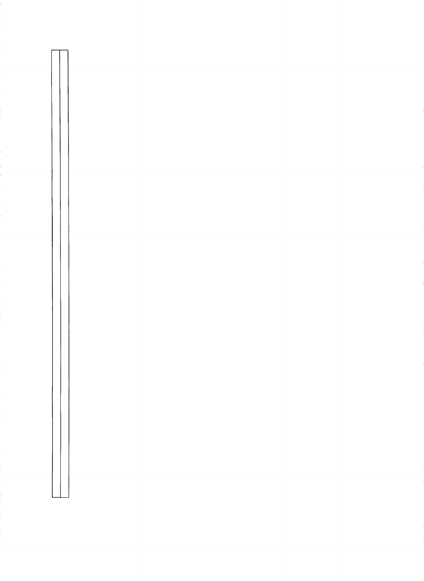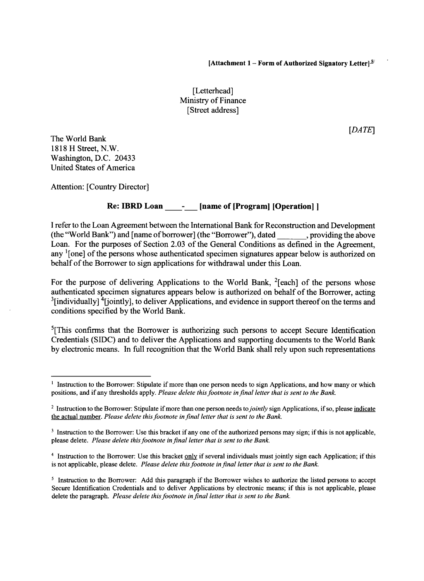**[Attachment 1 - Form of Authorized Signatory Letter]3"**

[Letterhead] Ministry of Finance [Street address]

The World Bank **1818** H Street, N.W. Washington, **D.C.** 20433 United States of America

Attention: [Country Director]

# **Re: IBRD Loan** - [name **of [Program] [Operation]**

**I** refer to the Loan Agreement between the International Bank for Reconstruction and Development (the "World Bank") and [name of borrower] (the "Borrower"), dated **\_,** providing the above Loan. For the purposes of Section **2.03** of the General Conditions as defined in the Agreement, any <sup>1</sup> [one] of the persons whose authenticated specimen signatures appear below is authorized on behalf of the Borrower to sign applications for withdrawal under this Loan.

For the purpose of delivering Applications to the World Bank, <sup>2</sup>[each] of the persons whose authenticated specimen signatures appears below is authorized on behalf of the Borrower, acting <sup>3</sup>[individually]<sup>4</sup>[jointly], to deliver Applications, and evidence in support thereof on the terms and conditions specified **by** the World Bank.

 $<sup>5</sup>$ [This confirms that the Borrower is authorizing such persons to accept Secure Identification</sup> Credentials **(SIDC)** and to deliver the Applications and supporting documents to the World Bank **by** electronic means. In full recognition that the World Bank shall rely upon such representations

*[DA TE]*

**<sup>&#</sup>x27;** Instruction to the Borrower: Stipulate if more than one person needs to sign Applications, and how many or which positions, and if any thresholds apply. *Please delete this footnote in final letter that is sent to the Bank.*

<sup>2</sup> Instruction to the Borrower: Stipulate if more than one person needs *to jointly* sign Applications, if so, please indicate the actual number. *Please delete this footnote in final letter that is sent to the Bank.*

<sup>&</sup>lt;sup>3</sup> Instruction to the Borrower: Use this bracket if any one of the authorized persons may sign; if this is not applicable, please delete. *Please delete this footnote in final letter that is sent to the Bank.*

<sup>4</sup> Instruction to the Borrower: Use this bracket only if several individuals must jointly sign each Application; if this is not applicable, please delete. *Please delete this footnote in final letter that is sent to the Bank.*

<sup>&</sup>lt;sup>5</sup> Instruction to the Borrower: Add this paragraph if the Borrower wishes to authorize the listed persons to accept Secure Identification Credentials and to deliver Applications **by** electronic means; if this is not applicable, please delete the paragraph. *Please delete this footnote in final letter that is sent to the Bank.*